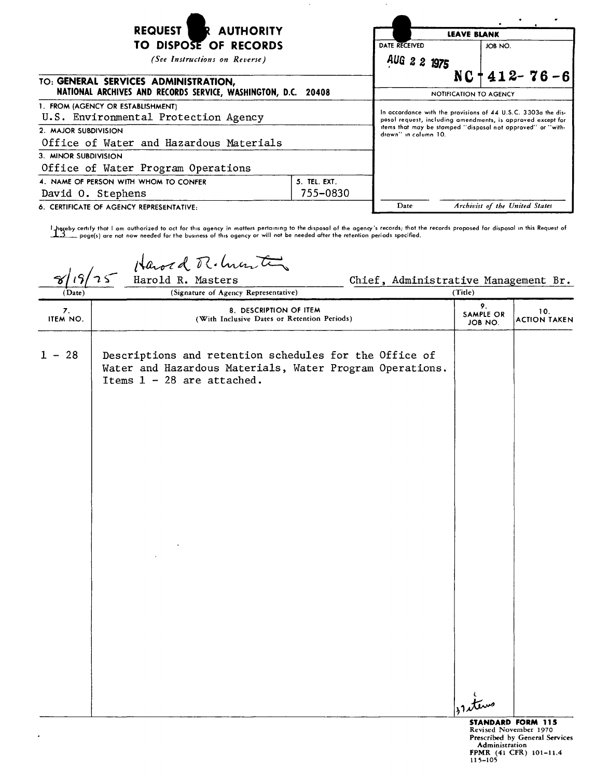| <b>REQUEST</b><br>R AUTHORITY                                             | <b>LEAVE BLANK</b>                                                                                                           |                                                                                     |                                |  |
|---------------------------------------------------------------------------|------------------------------------------------------------------------------------------------------------------------------|-------------------------------------------------------------------------------------|--------------------------------|--|
| TO DISPOSE OF RECORDS                                                     |                                                                                                                              | DATE RECEIVED                                                                       | JOB NO.                        |  |
| (See Instructions on Reverse)                                             | AUG 2 2 1975                                                                                                                 |                                                                                     |                                |  |
| TO: GENERAL SERVICES ADMINISTRATION,                                      |                                                                                                                              | $412 - 76 - 6$<br>NC.                                                               |                                |  |
| NATIONAL ARCHIVES AND RECORDS SERVICE, WASHINGTON, D.C. 20408             |                                                                                                                              | NOTIFICATION TO AGENCY                                                              |                                |  |
| 1. FROM (AGENCY OR ESTABLISHMENT)<br>U.S. Environmental Protection Agency | In accordance with the provisions of 44 U.S.C. 3303a the dis-<br>posol request, including amendments, is approved except for |                                                                                     |                                |  |
| 2. MAJOR SUBDIVISION                                                      |                                                                                                                              | items that may be stamped "disposal not approved" or "with-<br>drawn" in column 10. |                                |  |
| Office of Water and Hazardous Materials                                   |                                                                                                                              |                                                                                     |                                |  |
| 3. MINOR SUBDIVISION                                                      |                                                                                                                              |                                                                                     |                                |  |
| Office of Water Program Operations                                        |                                                                                                                              |                                                                                     |                                |  |
| 4. NAME OF PERSON WITH WHOM TO CONFER                                     |                                                                                                                              |                                                                                     |                                |  |
| David O. Stephens                                                         | 755-0830                                                                                                                     |                                                                                     |                                |  |
| 6. CERTIFICATE OF AGENCY REPRESENTATIVE:                                  |                                                                                                                              | Date                                                                                | Archivist of the United States |  |

l hereby certify that I am authorized to act for this agency in matters pertaining to the disposal of the agency's records; that the records proposed for disposal in this Request of poge(s) are not now needed for the business of this ogency or will not be needed after the retention periods specified.

Hawed R. hunt  $25$ Chief, Administrative Management Br.<br>(Tide)  $(Date)$ (Signature of Agency Representative) 7. 8. DESCRIPTION OF ITEM 10.<br>ITEM NO. (With Inclusive Dates or Retention Periods) SAMPLE OR SAMPLE OR 10.<br>JOB NO. ACTION TAKEN 1 - 28 Descriptions and retention schedules for the Office of Water and Hazardous Materials, Water Program Operations. Items 1 - 28 are attached. ( terns **STANDARD FORM <sup>115</sup>** Revised November <sup>1970</sup>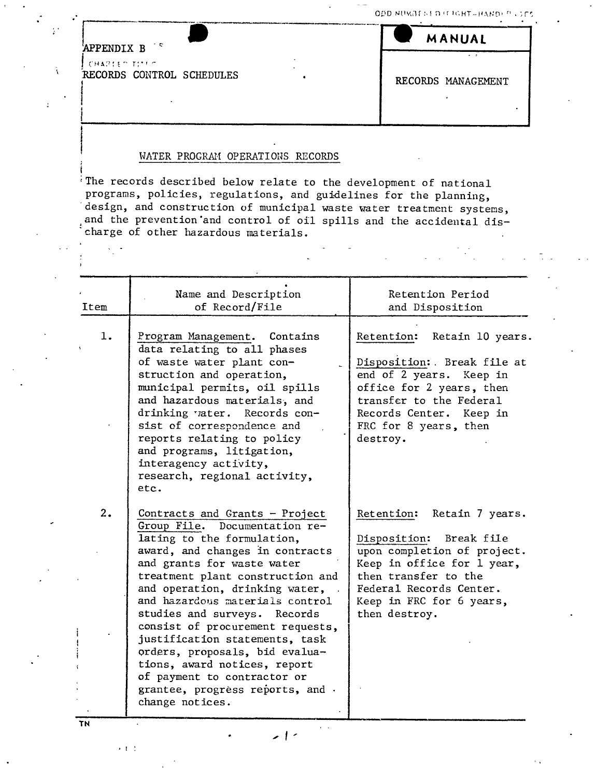ODD NUMBERED IT IGHT-HANDI

| APPENDIX B                | MANUAL             |
|---------------------------|--------------------|
| てきょうしをつけていりつ              |                    |
| RECORDS CONTROL SCHEDULES | RECORDS MANAGEMENT |

## WATER PROGRAM OPERATIONS RECORDS

'The records described below relate to the development of national programs, policies, regulations, and guidelines for the planning, design, and construction of municipal waste water treatment systems, and the prevention and control of oil spills and the accidental dis-'charge of other hazardous materials.

| Item | Name and Description<br>of Record/File                                                                                                                                                                                                                                                                                                                                                                                                                                                                                                  | Retention Period<br>and Disposition                                                                                                                                                                                      |
|------|-----------------------------------------------------------------------------------------------------------------------------------------------------------------------------------------------------------------------------------------------------------------------------------------------------------------------------------------------------------------------------------------------------------------------------------------------------------------------------------------------------------------------------------------|--------------------------------------------------------------------------------------------------------------------------------------------------------------------------------------------------------------------------|
| 1.   | Program Management. Contains<br>data relating to all phases<br>of waste water plant con-<br>struction and operation,<br>municipal permits, oil spills<br>and hazardous materials, and<br>drinking vater. Records con-<br>sist of correspondence and<br>reports relating to policy<br>and programs, litigation,<br>interagency activity,<br>research, regional activity,<br>etc.                                                                                                                                                         | Retention: Retain 10 years.<br>Disposition: Break file at<br>end of 2 years. Keep in<br>office for 2 years, then<br>transfer to the Federal<br>Records Center. Keep in<br>FRC for 8 years, then<br>destroy.              |
| 2.   | Contracts and Grants - Project<br>Documentation re-<br>Group File.<br>lating to the formulation,<br>award, and changes in contracts<br>and grants for waste water<br>treatment plant construction and<br>and operation, drinking water,<br>and hazardous materials control<br>studies and surveys. Records<br>consist of procurement requests,<br>justification statements, task<br>orders, proposals, bid evalua-<br>tions, award notices, report<br>of payment to contractor or<br>grantee, progress reports, and.<br>change notices. | Retention:<br>Retain 7 years.<br>Disposition:<br>Break file<br>upon completion of project.<br>Keep in office for 1 year,<br>then transfer to the<br>Federal Records Center.<br>Keep in FRC for 6 years,<br>then destroy. |

 $>1$  -

 $\mathbf{v}=\mathbf{v}$ 

• I

TN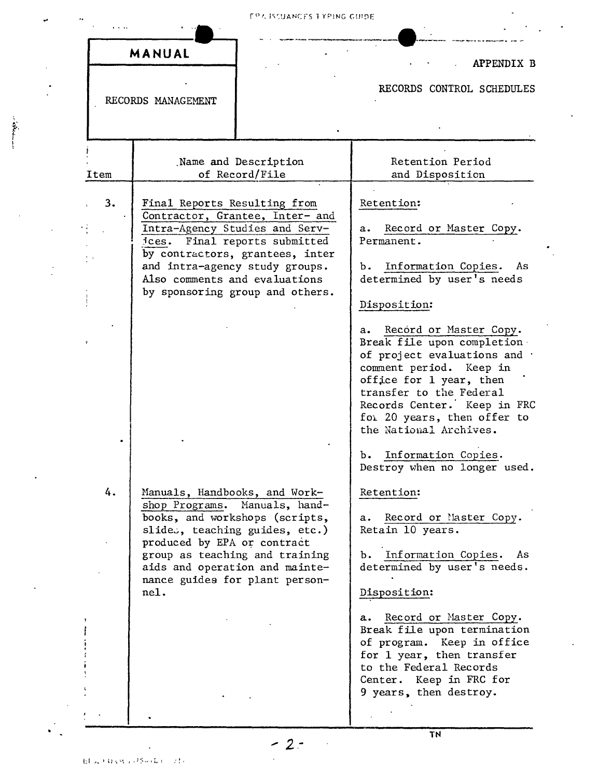|      | MANUAL                                                                                                                                                                                                                                                                          | <b>APPENDIX B</b>                                                                                                                                                                                                                                                                                                                  |
|------|---------------------------------------------------------------------------------------------------------------------------------------------------------------------------------------------------------------------------------------------------------------------------------|------------------------------------------------------------------------------------------------------------------------------------------------------------------------------------------------------------------------------------------------------------------------------------------------------------------------------------|
|      | RECORDS MANAGEMENT                                                                                                                                                                                                                                                              | RECORDS CONTROL SCHEDULES                                                                                                                                                                                                                                                                                                          |
| Item | Name and Description<br>of Record/File                                                                                                                                                                                                                                          | Retention Period<br>and Disposition                                                                                                                                                                                                                                                                                                |
| 3.   | Final Reports Resulting from<br>Contractor, Grantee, Inter- and<br>Intra-Agency Studies and Serv-<br>ices. Final reports submitted<br>by contractors, grantees, inter<br>and intra-agency study groups.<br>Also comments and evaluations<br>by sponsoring group and others.     | Retention:<br>Record or Master Copy.<br>a.<br>Permanent.<br>Information Copies.<br>As<br>ъ.<br>determined by user's needs<br>Disposition:                                                                                                                                                                                          |
|      |                                                                                                                                                                                                                                                                                 | Record or Master Copy.<br>а. –<br>Break file upon completion<br>of project evaluations and .<br>comment period.<br>Keep in<br>office for 1 year, then<br>transfer to the Federal<br>Records Center. Keep in FRC<br>for 20 years, then offer to<br>the National Archives.<br>b. Information Copies.<br>Destroy when no longer used. |
| 4.   | Manuals, Handbooks, and Work-<br>shop Programs. Manuals, hand-<br>books, and workshops (scripts,<br>slides, teaching guides, etc.)<br>produced by EPA or contract<br>group as teaching and training<br>aids and operation and mainte-<br>nance guides for plant person-<br>nel. | Retention:<br>Record or Master Copy.<br>а.<br>Retain 10 years.<br>Information Copies.<br>As<br>ъ.<br>determined by user's needs.<br>Disposition:<br>Record or Master Copy.<br>a.                                                                                                                                                   |
|      |                                                                                                                                                                                                                                                                                 | Break file upon termination<br>of program. Keep in office<br>for 1 year, then transfer<br>to the Federal Records<br>Center. Keep in FRC for<br>9 years, then destroy.                                                                                                                                                              |

 $\ddot{\phantom{a}}$ 

 $\ddot{\phantom{a}}$ 

 $-2 \ddot{\phantom{0}}$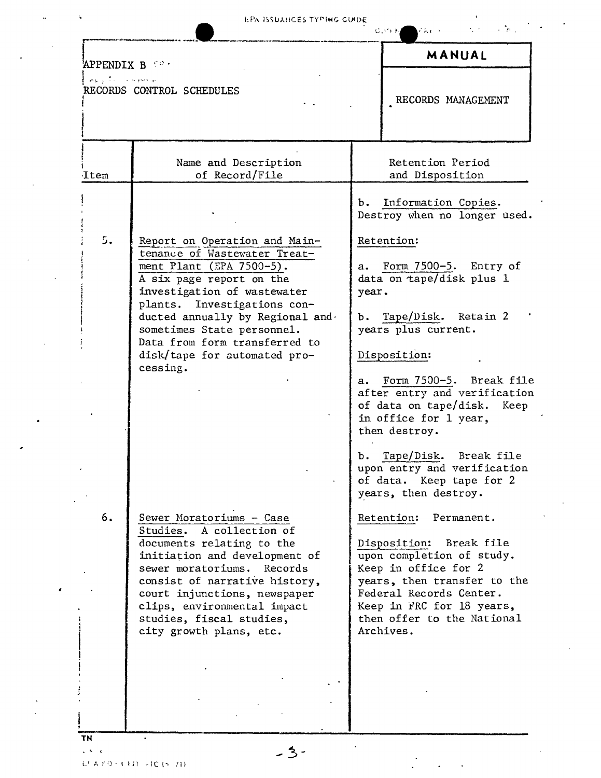...

 $\alpha$  and  $\alpha$  and  $\alpha$ 

| مراضره كالكاريض | RECORDS CONTROL SCHEDULES                                                                                                                                                                                                                       |               | RECORDS MANAGEMENT                                                                                                                                                                                             |
|-----------------|-------------------------------------------------------------------------------------------------------------------------------------------------------------------------------------------------------------------------------------------------|---------------|----------------------------------------------------------------------------------------------------------------------------------------------------------------------------------------------------------------|
|                 | Name and Description                                                                                                                                                                                                                            |               | Retention Period                                                                                                                                                                                               |
| Item            | of Record/File                                                                                                                                                                                                                                  |               | and Disposition                                                                                                                                                                                                |
|                 |                                                                                                                                                                                                                                                 |               | b. Information Copies.<br>Destroy when no longer used.                                                                                                                                                         |
| 5.              | Report on Operation and Main-<br>tenance of Wastewater Treat-                                                                                                                                                                                   |               | Retention:                                                                                                                                                                                                     |
|                 | ment Plant (EPA 7500-5).<br>A six page report on the                                                                                                                                                                                            | a.            | Form 7500-5. Entry of<br>data on tape/disk plus 1                                                                                                                                                              |
|                 | investigation of wastewater<br>plants. Investigations con-                                                                                                                                                                                      | year.         |                                                                                                                                                                                                                |
|                 | ducted annually by Regional and.<br>sometimes State personnel.<br>Data from form transferred to                                                                                                                                                 |               | b. Tape/Disk. Retain 2<br>years plus current.                                                                                                                                                                  |
|                 | disk/tape for automated pro-<br>cessing.                                                                                                                                                                                                        |               | Disposition:                                                                                                                                                                                                   |
|                 |                                                                                                                                                                                                                                                 | $a_{\bullet}$ | Form 7500-5. Break file<br>after entry and verification                                                                                                                                                        |
|                 |                                                                                                                                                                                                                                                 |               | of data on tape/disk. Keep<br>in office for 1 year,<br>then destroy.                                                                                                                                           |
|                 |                                                                                                                                                                                                                                                 |               | b. Tape/Disk. Break file<br>upon entry and verification<br>of data. Keep tape for 2<br>years, then destroy.                                                                                                    |
| 6.              | Sewer Moratoriums - Case<br>Studies. A collection of                                                                                                                                                                                            |               | Retention: Permanent.                                                                                                                                                                                          |
|                 | documents relating to the<br>initiation and development of<br>sewer moratoriums. Records<br>consist of narrative history,<br>court injunctions, newspaper<br>clips, environmental impact<br>studies, fiscal studies,<br>city growth plans, etc. |               | Disposition: Break file<br>upon completion of study.<br>Keep in office for 2<br>years, then transfer to the<br>Federal Records Center.<br>Keep in FRC for 18 years,<br>then offer to the National<br>Archives. |
|                 |                                                                                                                                                                                                                                                 |               |                                                                                                                                                                                                                |
|                 |                                                                                                                                                                                                                                                 |               |                                                                                                                                                                                                                |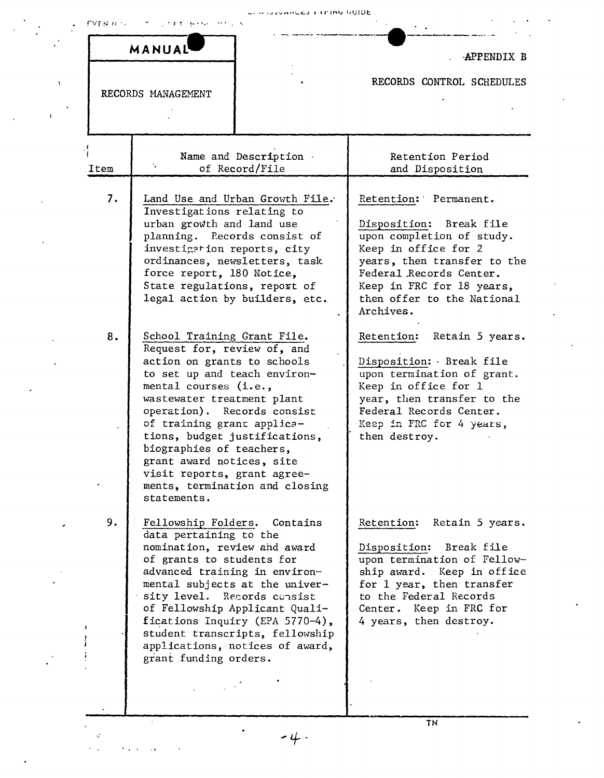|  |  | Consideration of Cause and Constant |  |  |  |  |  |
|--|--|-------------------------------------|--|--|--|--|--|
|--|--|-------------------------------------|--|--|--|--|--|

|                    | MANUAL                                                                                                                                                                                                                                                                                                                                                                                                                  |                                                                                                                   | APPENDIX B                                                                                                                                                                                                                                                               |
|--------------------|-------------------------------------------------------------------------------------------------------------------------------------------------------------------------------------------------------------------------------------------------------------------------------------------------------------------------------------------------------------------------------------------------------------------------|-------------------------------------------------------------------------------------------------------------------|--------------------------------------------------------------------------------------------------------------------------------------------------------------------------------------------------------------------------------------------------------------------------|
| $\chi$             | RECORDS MANAGEMENT                                                                                                                                                                                                                                                                                                                                                                                                      |                                                                                                                   | RECORDS CONTROL SCHEDULES                                                                                                                                                                                                                                                |
| Item               |                                                                                                                                                                                                                                                                                                                                                                                                                         | Name and Description .<br>of Record/File                                                                          | Retention Period<br>and Disposition                                                                                                                                                                                                                                      |
| 7.<br>8.           | Investigations relating to<br>urban growth and land use<br>planning. Records consist of<br>investigation reports, city<br>ordinances, newsletters, task<br>force report, 180 Notice,<br>State regulations, report of<br>legal action by builders, etc.                                                                                                                                                                  | Land Use and Urban Growth File.                                                                                   | Retention: Permanent.<br>Disposition: Break file<br>upon completion of study.<br>Keep in office for 2<br>years, then transfer to the<br>Federal Records Center.<br>Keep in FRC for 18 years,<br>then offer to the National<br>Archives.<br>Retain 5 years.<br>Retention: |
|                    | School Training Grant File.<br>Request for, review of, and<br>action on grants to schools<br>to set up and teach environ-<br>mental courses (i.e.,<br>wastewater treatment plant<br>operation). Records consist<br>of training grant applica-<br>tions, budget justifications,<br>biographies of teachers,<br>grant award notices, site<br>visit reports, grant agree-<br>ments, termination and closing<br>statements. |                                                                                                                   | Disposition: Break file<br>upon termination of grant.<br>Keep in office for 1<br>year, then transfer to the<br>Federal Records Center.<br>Keep in FRC for 4 years,<br>then destroy.                                                                                      |
| 9.<br>$\mathbf{r}$ | Fellowship Folders.<br>data pertaining to the<br>nomination, review and award<br>of grants to students for<br>advanced training in environ-<br>mental subjects at the univer-<br>sity level. Records consist<br>of Fellowship Applicant Quali-<br>grant funding orders.                                                                                                                                                 | Contains<br>fications Inquiry (EPA 5770-4),<br>student transcripts, fellowship<br>applications, notices of award, | Retain 5 years.<br>Retention:<br>Disposition: Break file<br>upon termination of Fellow-<br>ship award. Keep in office<br>for 1 year, then transfer<br>to the Federal Records<br>Center. Keep in FRC for<br>4 years, then destroy.                                        |
|                    |                                                                                                                                                                                                                                                                                                                                                                                                                         |                                                                                                                   | TN                                                                                                                                                                                                                                                                       |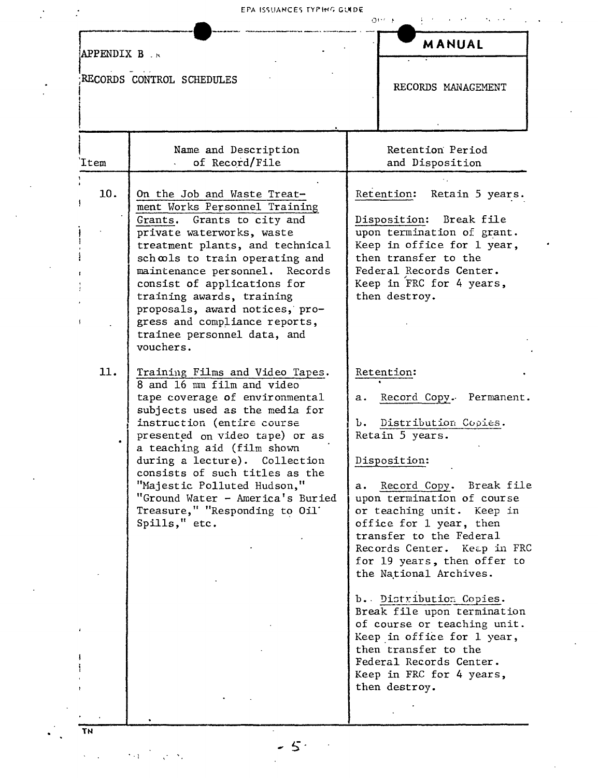## EPA ISSUANCES TYPING GUIDE

| APPENDIX B.K |                                                                                                                                                                                                                                                                                                                                                                                                                          |            | <b>MANUAL</b>                                                                                                                                                                                                                                                                                                                                                                                                                                                                                                                                                  |
|--------------|--------------------------------------------------------------------------------------------------------------------------------------------------------------------------------------------------------------------------------------------------------------------------------------------------------------------------------------------------------------------------------------------------------------------------|------------|----------------------------------------------------------------------------------------------------------------------------------------------------------------------------------------------------------------------------------------------------------------------------------------------------------------------------------------------------------------------------------------------------------------------------------------------------------------------------------------------------------------------------------------------------------------|
|              | RECORDS CONTROL SCHEDULES                                                                                                                                                                                                                                                                                                                                                                                                |            | RECORDS MANAGEMENT                                                                                                                                                                                                                                                                                                                                                                                                                                                                                                                                             |
| 'Item        | Name and Description<br>of Record/File                                                                                                                                                                                                                                                                                                                                                                                   |            | Retention Period<br>and Disposition                                                                                                                                                                                                                                                                                                                                                                                                                                                                                                                            |
| 10.          | On the Job and Waste Treat-<br>ment Works Personnel Training<br>Grants. Grants to city and<br>private waterworks, waste<br>treatment plants, and technical<br>schools to train operating and<br>maintenance personnel. Records<br>consist of applications for<br>training awards, training<br>proposals, award notices, pro-<br>gress and compliance reports,<br>trainee personnel data, and<br>vouchers.                |            | Retention:<br>Retain 5 years.<br>Disposition: Break file<br>upon termination of grant.<br>Keep in office for 1 year,<br>then transfer to the<br>Federal Records Center.<br>Keep in FRC for 4 years,<br>then destroy.                                                                                                                                                                                                                                                                                                                                           |
| 11.          | Training Films and Video Tapes.<br>8 and 16 mm film and video<br>tape coverage of environmental<br>subjects used as the media for<br>instruction (entire course<br>presented on video tape) or as<br>a teaching aid (film shown<br>during a lecture). Collection<br>consists of such titles as the<br>"Majestic Polluted Hudson,"<br>"Ground Water - America's Buried<br>Treasure," "Responding to Oil'<br>Spills," etc. | а. –<br>Ъ. | Retention:<br>Record Copy. Permanent.<br>Distribution Copies.<br>Retain 5 years.<br>Disposition:<br>a. Record Copy. Break file<br>upon termination of course<br>or teaching unit. Keep in<br>office for 1 year, then<br>transfer to the Federal<br>Records Center. Keap in FRC<br>for 19 years, then offer to<br>the National Archives.<br>b. Distribution Copies.<br>Break file upon termination<br>of course or teaching unit.<br>Keep in office for 1 year,<br>then transfer to the<br>Federal Records Center.<br>Keep in FRC for 4 years,<br>then destroy. |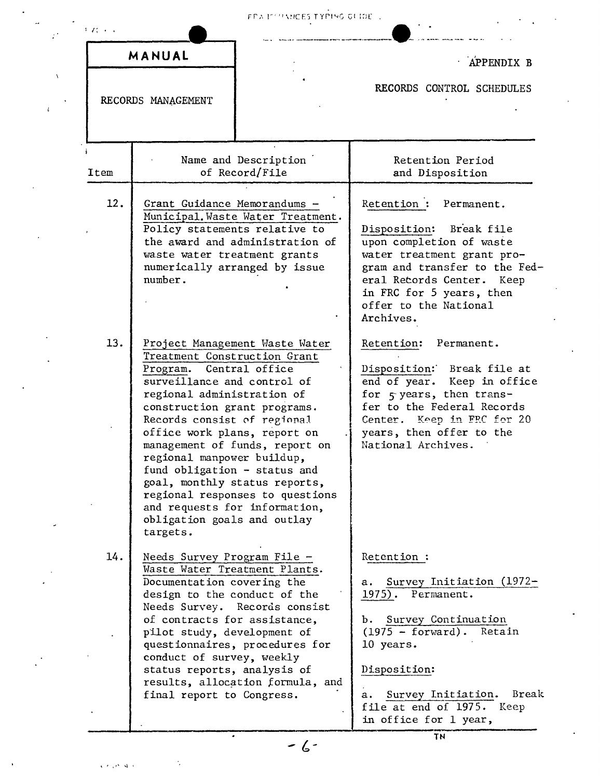| ちばいい |                                                                                                                                                                                                                                                                                                                                                                                                                                                                                           | FRA IT PINNOES TYPING OF IDE                                                                          |                                                                                                                                                                                                                                                               |
|------|-------------------------------------------------------------------------------------------------------------------------------------------------------------------------------------------------------------------------------------------------------------------------------------------------------------------------------------------------------------------------------------------------------------------------------------------------------------------------------------------|-------------------------------------------------------------------------------------------------------|---------------------------------------------------------------------------------------------------------------------------------------------------------------------------------------------------------------------------------------------------------------|
|      | MANUAL<br>RECORDS MANAGEMENT                                                                                                                                                                                                                                                                                                                                                                                                                                                              |                                                                                                       | APPENDIX B<br>RECORDS CONTROL SCHEDULES                                                                                                                                                                                                                       |
|      |                                                                                                                                                                                                                                                                                                                                                                                                                                                                                           |                                                                                                       |                                                                                                                                                                                                                                                               |
| Item |                                                                                                                                                                                                                                                                                                                                                                                                                                                                                           | Name and Description<br>of Record/File                                                                | Retention Period<br>and Disposition                                                                                                                                                                                                                           |
| 12.  | Grant Guidance Memorandums -<br>Policy statements relative to<br>waste water treatment grants<br>number.                                                                                                                                                                                                                                                                                                                                                                                  | Municipal. Waste Water Treatment.<br>the award and administration of<br>numerically arranged by issue | Retention :<br>Permanent.<br>Disposition: Break file<br>upon completion of waste<br>water treatment grant pro-<br>gram and transfer to the Fed-<br>eral Retords Center.<br>Keep<br>in FRC for 5 years, then<br>offer to the National<br>Archives.             |
| 13.  | Project Management Waste Water<br>Treatment Construction Grant<br>Program. Central office<br>surveillance and control of<br>regional administration of<br>construction grant programs.<br>Records consist of regional<br>office work plans, report on<br>management of funds, report on<br>regional manpower buildup,<br>fund obligation - status and<br>goal, monthly status reports,<br>regional responses to questions<br>and requests for information,<br>obligation goals and outlay |                                                                                                       | Retention:<br>Permanent.<br>Disposition: Break file at<br>end of year. Keep in office<br>for 5 years, then trans-<br>fer to the Federal Records<br>Center. Keep in FRC for 20<br>years, then offer to the<br>National Archives.                               |
| 14.  | Needs Survey Program File -<br>Waste Water Treatment Plants.<br>Documentation covering the<br>design to the conduct of the<br>of contracts for assistance,<br>pilot study, development of<br>conduct of survey, weekly<br>status reports, analysis of<br>final report to Congress.                                                                                                                                                                                                        | Needs Survey. Records consist<br>questionnaires, procedures for<br>results, allocation formula, and   | Retention:<br>Survey Initiation $(1972 -$<br>а.<br>$1975$ .<br>Permanent.<br>b. Survey Continuation<br>$(1975 - forward)$ . Retain<br>10 years.<br>Disposition:<br>Break<br>Survey Initiation.<br>а.<br>file at end of 1975.<br>Keep<br>in office for 1 year, |

 $-6-$ 

 $\sqrt{r}$  ,  $r^2$  ,  $\sqrt{r}$ 

 $\gamma$ 

 $\mathbb{R}^4$ 

 $\chi$ 

 $\bar{\psi}$ 

 $\bar{z}$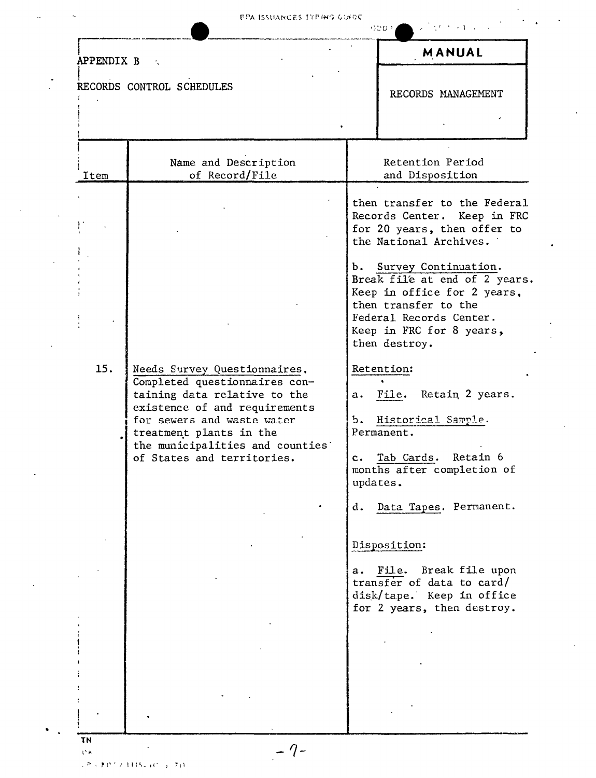$\epsilon$ 

 $\hat{\mathcal{L}}$ 

| APPENDIX B<br>RECORDS CONTROL SCHEDULES |                                                                                                                                                                                                                                                          |          | MANUAL                                                                                                                                                                                                                                                                                                             |
|-----------------------------------------|----------------------------------------------------------------------------------------------------------------------------------------------------------------------------------------------------------------------------------------------------------|----------|--------------------------------------------------------------------------------------------------------------------------------------------------------------------------------------------------------------------------------------------------------------------------------------------------------------------|
|                                         |                                                                                                                                                                                                                                                          |          | RECORDS MANAGEMENT                                                                                                                                                                                                                                                                                                 |
| Item                                    | Name and Description<br>of Record/File                                                                                                                                                                                                                   |          | Retention Period<br>and Disposition                                                                                                                                                                                                                                                                                |
|                                         |                                                                                                                                                                                                                                                          | b.       | then transfer to the Federal<br>Records Center. Keep in FRC<br>for 20 years, then offer to<br>the National Archives.<br>Survey Continuation.<br>Break file at end of 2 years.<br>Keep in office for 2 years,<br>then transfer to the<br>Federal Records Center.<br>Keep in FRC for 8 years,<br>then destroy.       |
| 15.                                     | Needs Survey Questionnaires.<br>Completed questionnaires con-<br>taining data relative to the<br>existence of and requirements<br>for sewers and waste water<br>treatment plants in the<br>the municipalities and counties<br>of States and territories. | d.<br>a. | Retention:<br>a. File. Retain 2 years.<br>b. Historical Sample.<br>Permanent.<br>Retain 6<br>c. Tab Cards.<br>months after completion of<br>updates.<br>Data Tapes. Permanent.<br>Disposition:<br>File.<br>Break file upon<br>transfer of data to card/<br>disk/tape. Keep in office<br>for 2 years, then destroy. |
|                                         |                                                                                                                                                                                                                                                          |          |                                                                                                                                                                                                                                                                                                                    |

 $\sqrt{P} \times \mathbb{P} \mathcal{O}^{\frac{1}{2}}$  / 1315-40  $\sqrt{2}$  / 241

 $\epsilon_{\rm s}$ 

 $\ddot{\phantom{a}}$ 

 $\frac{1}{\sqrt{2}}$ 

 $\hat{\mathbf{v}}$ 

 $\ddot{\phantom{a}}$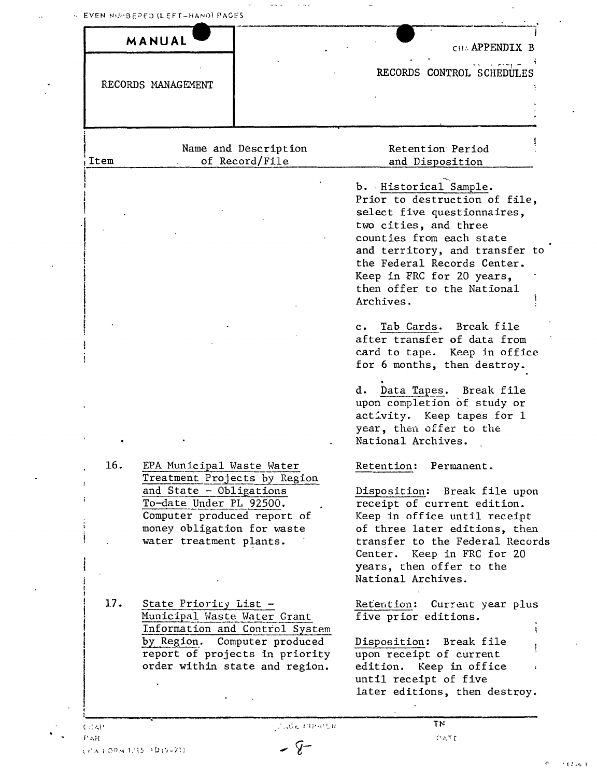$\frac{1}{2}$ 

 $\ddot{\phantom{0}}$ 

|                    | MANUAL                                                                                                                                                                                                  |                                                                                                                                    | CHA <b>APPENDIX</b> B                                                                                                                                                                                                                                                                 |
|--------------------|---------------------------------------------------------------------------------------------------------------------------------------------------------------------------------------------------------|------------------------------------------------------------------------------------------------------------------------------------|---------------------------------------------------------------------------------------------------------------------------------------------------------------------------------------------------------------------------------------------------------------------------------------|
| RECORDS MANAGEMENT |                                                                                                                                                                                                         |                                                                                                                                    | RECORDS CONTROL SCHEDULES                                                                                                                                                                                                                                                             |
| Item               |                                                                                                                                                                                                         | Name and Description<br>of Record/File                                                                                             | Retention Period<br>and Disposition                                                                                                                                                                                                                                                   |
|                    |                                                                                                                                                                                                         |                                                                                                                                    | b. Historical Sample.<br>Prior to destruction of file,<br>select five questionnaires,<br>two cities, and three<br>counties from each state<br>and territory, and transfer to<br>the Federal Records Center.<br>Keep in FRC for 20 years,<br>then offer to the National<br>Archives.   |
|                    |                                                                                                                                                                                                         |                                                                                                                                    | Tab Cards.<br>Break file<br>$c_{\bullet}$<br>after transfer of data from<br>card to tape. Keep in office<br>for 6 months, then destroy.<br>Data Tapes. Break file<br>d.<br>upon completion of study or<br>activity. Keep tapes for 1<br>year, then offer to the<br>National Archives. |
| 16.                | EPA Municipal Waste Water<br>Treatment Projects by Region<br>and State - Obligations<br>To-date Under PL 92500.<br>Computer produced report of<br>money obligation for waste<br>water treatment plants. |                                                                                                                                    | Retention: Permanent.<br>Disposition: Break file upon<br>receipt of current edition.<br>Keep in office until receipt<br>of three later editions, then<br>transfer to the Federal Records<br>Center. Keep in FRC for 20<br>years, then offer to the<br>National Archives.              |
| 17.                | State Prioricy List -<br>Municipal Waste Water Grant                                                                                                                                                    | Information and Control System<br>by Region. Computer produced<br>report of projects in priority<br>order within state and region. | Retention:<br>Current year plus<br>five prior editions.<br>Disposition:<br>Break file<br>upon receipt of current<br>edition.<br>Keep in office<br>until receipt of five<br>later editions, then destroy.                                                                              |
|                    |                                                                                                                                                                                                         |                                                                                                                                    |                                                                                                                                                                                                                                                                                       |

 $\frac{1}{2}$  , and  $\frac{1}{2}$  , and  $\frac{1}{2}$ 

 $-9-$ 

 $\sim 10^7$ 

 $\ddot{\phantom{a}}$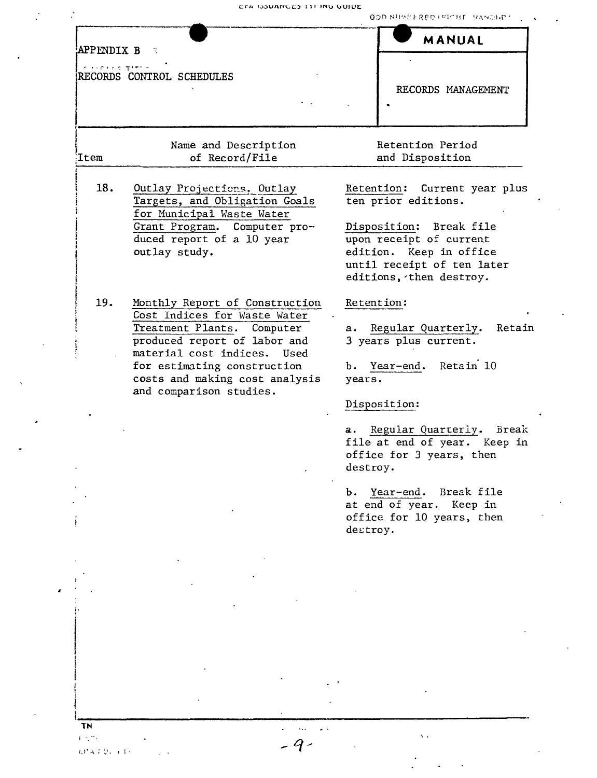|            | CTA ISSUANCES TIT ING GUIDE                                                                                                                                                                                                                                | ODD NUMPERED IPICHT HANDI-PT                                                                                                                                                                     |  |  |
|------------|------------------------------------------------------------------------------------------------------------------------------------------------------------------------------------------------------------------------------------------------------------|--------------------------------------------------------------------------------------------------------------------------------------------------------------------------------------------------|--|--|
| APPENDIX B | - R                                                                                                                                                                                                                                                        | MANUAL                                                                                                                                                                                           |  |  |
| contraters | RECORDS CONTROL SCHEDULES                                                                                                                                                                                                                                  | RECORDS MANAGEMENT                                                                                                                                                                               |  |  |
| Item       | Name and Description<br>of Record/File                                                                                                                                                                                                                     | Retention Period<br>and Disposition                                                                                                                                                              |  |  |
| 18.        | Outlay Projections, Outlay<br>Targets, and Obligation Goals<br>for Municipal Waste Water<br>Grant Program. Computer pro-<br>duced report of a 10 year<br>outlay study.                                                                                     | Current year plus<br>Retention:<br>ten prior editions.<br>Disposition: Break file<br>upon receipt of current<br>edition. Keep in office<br>until receipt of ten later<br>editions, then destroy. |  |  |
| 19.        | Monthly Report of Construction<br>Cost Indices for Waste Water<br>Treatment Plants. Computer<br>produced report of labor and<br>material cost indices.<br>Used<br>for estimating construction<br>costs and making cost analysis<br>and comparison studies. | Retention:<br>Regular Quarterly.<br>Retain<br>а.<br>3 years plus current.<br>Retain 10<br>Year-end.<br>b.<br>years.<br>Disposition:                                                              |  |  |
|            |                                                                                                                                                                                                                                                            | Regular Quarterly.<br>Break<br>а. –<br>file at end of year. Keep in<br>office for 3 years, then<br>destroy.                                                                                      |  |  |
|            |                                                                                                                                                                                                                                                            | b. Year-end. Break file<br>at end of year. Keep in<br>office for 10 years, then<br>destroy.                                                                                                      |  |  |
|            |                                                                                                                                                                                                                                                            |                                                                                                                                                                                                  |  |  |

 $\bullet$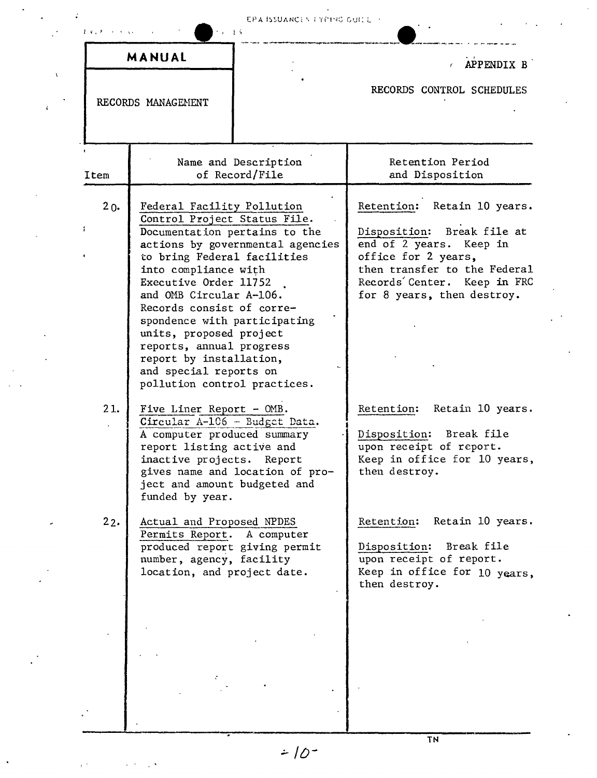## **EPA** ISSUANCES EYE190 GUITE

 $\ddot{\cdot}$ 

 $\ddot{\cdot}$ 

|        | MANUAL                                                                                                                                                                                                                                                                                                                                                                                                          |                                        | APPENDIX B                                                                                                                                                                                               |
|--------|-----------------------------------------------------------------------------------------------------------------------------------------------------------------------------------------------------------------------------------------------------------------------------------------------------------------------------------------------------------------------------------------------------------------|----------------------------------------|----------------------------------------------------------------------------------------------------------------------------------------------------------------------------------------------------------|
|        | RECORDS MANAGEMENT                                                                                                                                                                                                                                                                                                                                                                                              |                                        | RECORDS CONTROL SCHEDULES                                                                                                                                                                                |
| Item   |                                                                                                                                                                                                                                                                                                                                                                                                                 | Name and Description<br>of Record/File | Retention Period<br>and Disposition                                                                                                                                                                      |
| $20 -$ | Federal Facility Pollution<br>Control Project Status File.<br>Documentation pertains to the<br>to bring Federal facilities<br>into compliance with<br>Executive Order 11752<br>and OMB Circular A-106.<br>Records consist of corre-<br>spondence with participating<br>units, proposed project<br>reports, annual progress<br>report by installation,<br>and special reports on<br>pollution control practices. | actions by governmental agencies       | Retention: Retain 10 years.<br>Disposition: Break file at<br>end of 2 years. Keep in<br>office for 2 years,<br>then transfer to the Federal<br>Records Center. Keep in FRC<br>for 8 years, then destroy. |
| 21.    | Five Liner Report - OMB.<br>Circular A-106 - Budget Data.<br>A computer produced summary<br>report listing active and<br>inactive projects. Report<br>ject and amount budgeted and<br>funded by year.                                                                                                                                                                                                           | gives name and location of pro-        | Retention: Retain 10 years.<br>Disposition:<br>Break file<br>upon receipt of report.<br>Keep in office for 10 years,<br>then destroy.                                                                    |
| 22.    | Actual and Proposed NPDES<br>Permits Report. A computer<br>produced report giving permit<br>number, agency, facility<br>location, and project date.                                                                                                                                                                                                                                                             |                                        | Retain 10 years.<br>Retention:<br>Disposition: Break file<br>upon receipt of report.<br>Keep in office for 10 years.<br>then destroy.                                                                    |
|        |                                                                                                                                                                                                                                                                                                                                                                                                                 |                                        |                                                                                                                                                                                                          |

 $2 - 10^{-7}$ 

 $\sqrt{\frac{1}{2}}$ 

 $\ddot{\phantom{a}}$ 

**TN**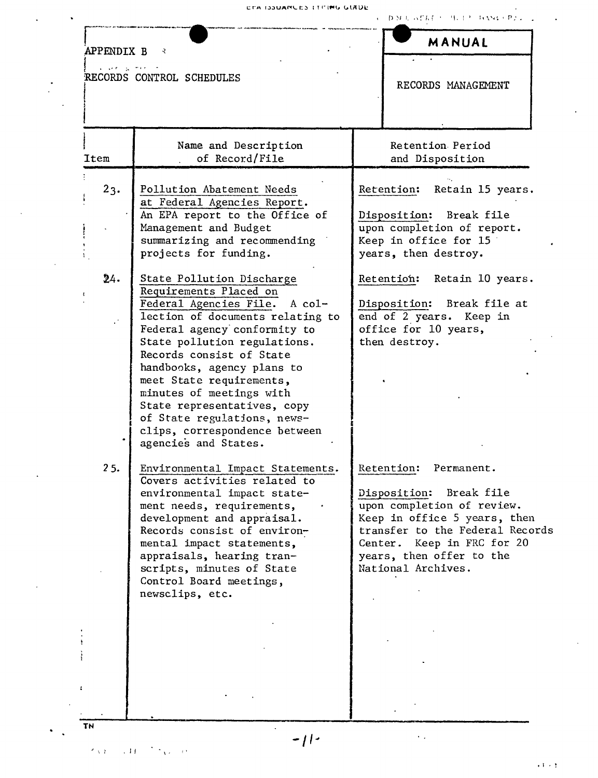ETA ISSUANCES LITTING GUIDE

 $\mathcal{A} = \left\{ \mathbf{D}(M, \mathbf{I}_N), \mathbf{A} \mathbf{C} K \mathbf{E}^{-1} \right\} \geq \left\{ \mathbf{I}_N, \mathbf{Y}_N \mathbf{V}_N + \mathbf{P} \mathbf{P} \mathbf{A} \right\} \geq \left\{ \mathbf{I}_N, \mathbf{I}_N \right\} \geq \left\{ \mathbf{I}_N, \mathbf{I}_N \right\} \geq \left\{ \mathbf{I}_N, \mathbf{I}_N \right\} \geq \left\{ \mathbf{I}_N, \mathbf{I}_N \right\} \geq \left\{ \mathbf{$ 

| APPENDIX B     | ₹                                                                                                                                                                                                                                                                                                                                                                                                                                 | MANUAL                                                                                                                                                                                                                               |
|----------------|-----------------------------------------------------------------------------------------------------------------------------------------------------------------------------------------------------------------------------------------------------------------------------------------------------------------------------------------------------------------------------------------------------------------------------------|--------------------------------------------------------------------------------------------------------------------------------------------------------------------------------------------------------------------------------------|
| $1.144 - 1.14$ | RECORDS CONTROL SCHEDULES                                                                                                                                                                                                                                                                                                                                                                                                         | RECORDS MANAGEMENT                                                                                                                                                                                                                   |
| Item           | Name and Description<br>of Record/File                                                                                                                                                                                                                                                                                                                                                                                            | Retention Period<br>and Disposition                                                                                                                                                                                                  |
| 23.            | Pollution Abatement Needs<br>at Federal Agencies Report.<br>An EPA report to the Office of<br>Management and Budget<br>summarizing and recommending<br>projects for funding.                                                                                                                                                                                                                                                      | Retain 15 years.<br>Retention:<br>Disposition: Break file<br>upon completion of report.<br>Keep in office for 15<br>years, then destroy.                                                                                             |
| 24.            | State Pollution Discharge<br>Requirements Placed on<br>Federal Agencies File. A col-<br>lection of documents relating to<br>Federal agency conformity to<br>State pollution regulations.<br>Records consist of State<br>handbooks, agency plans to<br>meet State requirements,<br>minutes of meetings with<br>State representatives, copy<br>of State regulations, news-<br>clips, correspondence between<br>agencies and States. | Retain 10 years.<br>Retention:<br>Disposition: Break file at<br>end of 2 years. Keep in<br>office for 10 years,<br>then destroy.                                                                                                     |
| 25.            | Environmental Impact Statements.<br>Covers activities related to<br>environmental impact state-<br>ment needs, requirements,<br>development and appraisal.<br>Records consist of environ-<br>mental impact statements,<br>appraisals, hearing tran-<br>scripts, minutes of State<br>Control Board meetings,<br>newsclips, etc.                                                                                                    | Retention:<br>Permanent.<br>Disposition: Break file<br>upon completion of review.<br>Keep in office 5 years, then<br>transfer to the Federal Records<br>Center. Keep in FRC for 20<br>years, then offer to the<br>National Archives. |
|                |                                                                                                                                                                                                                                                                                                                                                                                                                                   |                                                                                                                                                                                                                                      |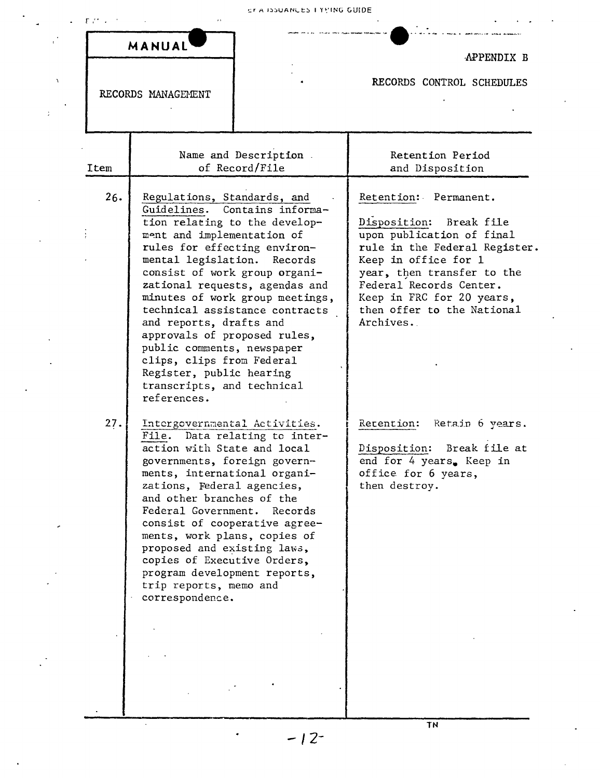|                    | MANUAL                                                                                                                                                                                                                                                                                                                                                                                                                                                                                                                                  | APPENDIX B                                                                                                                                                                                                                                                              |  |
|--------------------|-----------------------------------------------------------------------------------------------------------------------------------------------------------------------------------------------------------------------------------------------------------------------------------------------------------------------------------------------------------------------------------------------------------------------------------------------------------------------------------------------------------------------------------------|-------------------------------------------------------------------------------------------------------------------------------------------------------------------------------------------------------------------------------------------------------------------------|--|
| RECORDS MANAGEMENT |                                                                                                                                                                                                                                                                                                                                                                                                                                                                                                                                         | RECORDS CONTROL SCHEDULES                                                                                                                                                                                                                                               |  |
| Item               | Name and Description.<br>of Record/File                                                                                                                                                                                                                                                                                                                                                                                                                                                                                                 | Retention Period<br>and Disposition                                                                                                                                                                                                                                     |  |
| 26.                | Regulations, Standards, and<br>Guidelines.<br>Contains informa-<br>tion relating to the develop-<br>ment and implementation of<br>rules for effecting environ-<br>mental legislation.<br>Records<br>consist of work group organi-<br>zational requests, agendas and<br>minutes of work group meetings,<br>technical assistance contracts<br>and reports, drafts and<br>approvals of proposed rules,<br>public comments, newspaper<br>clips, clips from Federal<br>Register, public hearing<br>transcripts, and technical<br>references. | Retention: Permanent.<br>Disposition: Break file<br>upon publication of final<br>rule in the Federal Register.<br>Keep in office for 1<br>year, then transfer to the<br>Federal Records Center.<br>Keep in FRC for 20 years,<br>then offer to the National<br>Archives. |  |
| 27.                | Intergovernmental Activities.<br>File. Data relating to inter-<br>action with State and local<br>governments, foreign govern-<br>ments, international organi-<br>zations, Federal agencies,<br>and other branches of the<br>Federal Government.<br>Records<br>consist of cooperative agree-<br>ments, work plans, copies of<br>proposed and existing laws,<br>copies of Executive Orders,<br>program development reports,<br>trip reports, memo and<br>correspondence.                                                                  | Retention: Retain 6 years.<br>Disposition: Break file at<br>end for 4 years. Keep in<br>office for 6 years,<br>then destroy.                                                                                                                                            |  |

TN

 $\ddot{\phantom{0}}$